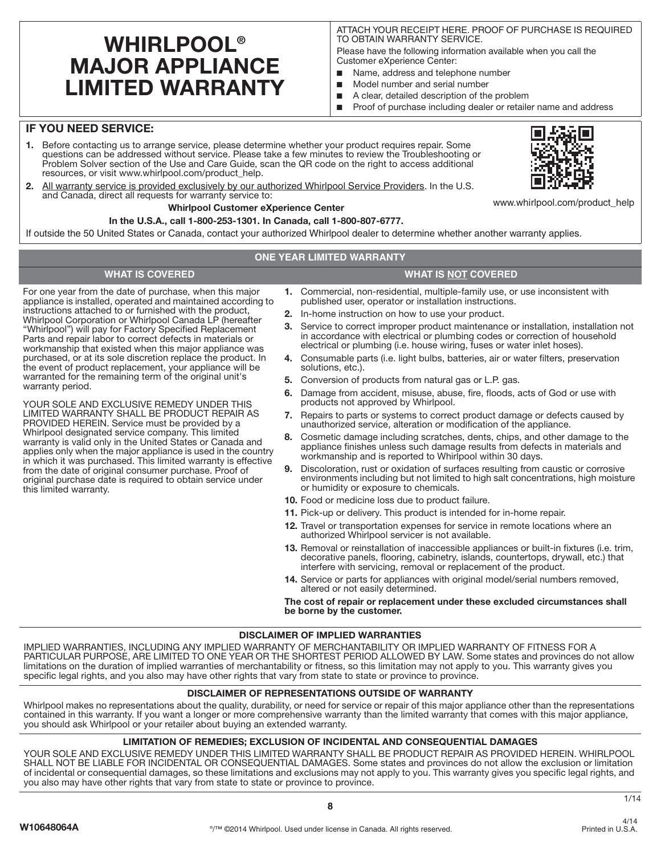# **WHIRLPOOL® MAJOR APPLIANCE LIMITED WARRANTY**

ATTACH YOUR RECEIPT HERE. PROOF OF PURCHASE IS REQUIRED TO OBTAIN WARRANTY SERVICE.

Please have the following information available when you call the Customer eXperience Center:

- Name, address and telephone number
- Model number and serial number
- A clear, detailed description of the problem
- Proof of purchase including dealer or retailer name and address

# **IF YOU NEED SERVICE:**

warranty period.

this limited warranty.

- **1.** Before contacting us to arrange service, please determine whether your product requires repair. Some questions can be addressed without service. Please take a few minutes to review the Troubleshooting or Problem Solver section of the Use and Care Guide, scan the QR code on the right to access additional resources, or visit www.whirlpool.com/product\_help.
- **2.** All warranty service is provided exclusively by our authorized Whirlpool Service Providers. In the U.S. and Canada, direct all requests for warranty service to:

## **Whirlpool Customer eXperience Center**

## **In the U.S.A., call 1-800-253-1301. In Canada, call 1-800-807-6777.**

If outside the 50 United States or Canada, contact your authorized Whirlpool dealer to determine whether another warranty applies.

## **ONE YEAR LIMITED WARRANTY**

## **WHAT IS COVERED WHAT IS NOT COVERED**

For one year from the date of purchase, when this major appliance is installed, operated and maintained according to instructions attached to or furnished with the product, Whirlpool Corporation or Whirlpool Canada LP (hereafter "Whirlpool") will pay for Factory Specified Replacement Parts and repair labor to correct defects in materials or workmanship that existed when this major appliance was purchased, or at its sole discretion replace the product. In the event of product replacement, your appliance will be warranted for the remaining term of the original unit's

YOUR SOLE AND EXCLUSIVE REMEDY UNDER THIS LIMITED WARRANTY SHALL BE PRODUCT REPAIR AS PROVIDED HEREIN. Service must be provided by a Whirlpool designated service company. This limited warranty is valid only in the United States or Canada and applies only when the major appliance is used in the country in which it was purchased. This limited warranty is effective from the date of original consumer purchase. Proof of original purchase date is required to obtain service under

**1.** Commercial, non-residential, multiple-family use, or use inconsistent with published user, operator or installation instructions.

- **2.** In-home instruction on how to use your product.
- **3.** Service to correct improper product maintenance or installation, installation not in accordance with electrical or plumbing codes or correction of household electrical or plumbing (i.e. house wiring, fuses or water inlet hoses).
- **4.** Consumable parts (i.e. light bulbs, batteries, air or water filters, preservation solutions, etc.).
- **5.** Conversion of products from natural gas or L.P. gas.
- **6.** Damage from accident, misuse, abuse, fire, floods, acts of God or use with products not approved by Whirlpool.
- **7.** Repairs to parts or systems to correct product damage or defects caused by unauthorized service, alteration or modification of the appliance.
- **8.** Cosmetic damage including scratches, dents, chips, and other damage to the appliance finishes unless such damage results from defects in materials and workmanship and is reported to Whirlpool within 30 days.
- **9.** Discoloration, rust or oxidation of surfaces resulting from caustic or corrosive environments including but not limited to high salt concentrations, high moisture or humidity or exposure to chemicals.
- **10.** Food or medicine loss due to product failure.
- **11.** Pick-up or delivery. This product is intended for in-home repair.
- **12.** Travel or transportation expenses for service in remote locations where an authorized Whirlpool servicer is not available.
- **13.** Removal or reinstallation of inaccessible appliances or built-in fixtures (i.e. trim, decorative panels, flooring, cabinetry, islands, countertops, drywall, etc.) that interfere with servicing, removal or replacement of the product.
- **14.** Service or parts for appliances with original model/serial numbers removed, altered or not easily determined.

**The cost of repair or replacement under these excluded circumstances shall be borne by the customer.** 

### **DISCLAIMER OF IMPLIED WARRANTIES**

IMPLIED WARRANTIES, INCLUDING ANY IMPLIED WARRANTY OF MERCHANTABILITY OR IMPLIED WARRANTY OF FITNESS FOR A PARTICULAR PURPOSE, ARE LIMITED TO ONE YEAR OR THE SHORTEST PERIOD ALLOWED BY LAW. Some states and provinces do not allow limitations on the duration of implied warranties of merchantability or fitness, so this limitation may not apply to you. This warranty gives you specific legal rights, and you also may have other rights that vary from state to state or province to province.

# **DISCLAIMER OF REPRESENTATIONS OUTSIDE OF WARRANTY**

Whirlpool makes no representations about the quality, durability, or need for service or repair of this major appliance other than the representations contained in this warranty. If you want a longer or more comprehensive warranty than the limited warranty that comes with this major appliance, you should ask Whirlpool or your retailer about buying an extended warranty.

### **LIMITATION OF REMEDIES; EXCLUSION OF INCIDENTAL AND CONSEQUENTIAL DAMAGES**

YOUR SOLE AND EXCLUSIVE REMEDY UNDER THIS LIMITED WARRANTY SHALL BE PRODUCT REPAIR AS PROVIDED HEREIN. WHIRLPOOL SHALL NOT BE LIABLE FOR INCIDENTAL OR CONSEQUENTIAL DAMAGES. Some states and provinces do not allow the exclusion or limitation of incidental or consequential damages, so these limitations and exclusions may not apply to you. This warranty gives you specific legal rights, and you also may have other rights that vary from state to state or province to province.

1/14



www.whirlpool.com/product\_help